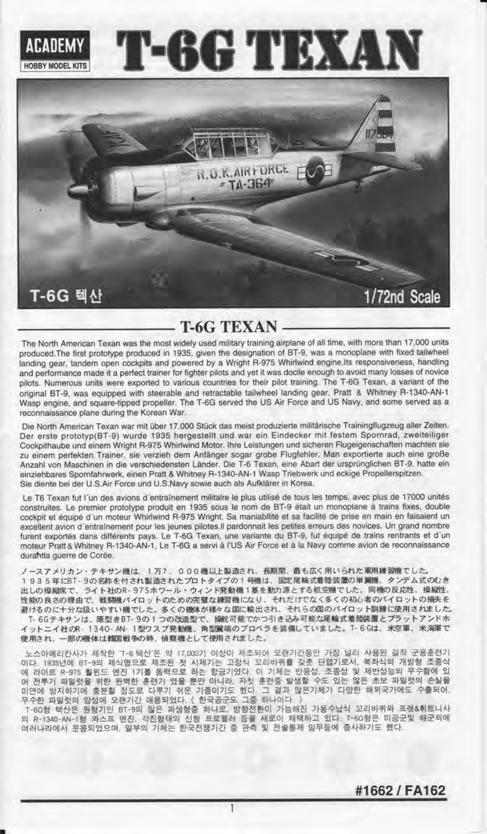

## T.6G TEXAN

The North American Texan was the most widely used military training airplane of all time, with more than 17,000 units produced.The first prototype produced in 1935, given the designation of BT-9, was a monoplane with lixed tailwheel landing gear, tandem open cockpits and powered by a Wright R-975 Whirlwind engine.lts responsiveress, handling and performance made it a perfect trainer for fighter pilots and yet it was docile enough to avoid many losses of novice pilots. Numerous units were exported to various countries for their pilot training. The T-6G Texan, a variant of the original BT-9, was equipped with steerable and retractable tailwheel landing gear, Pratt & Whitney R-1340-AN-1 wasp engine, and square-tipped propeller. The T-6G serued the US Air Force and US Navy, and some serued as a reconnaissance plane during the Korean War.

Die North American Texan war mit über 17.000 Stück das meist produzierte militärische Trainingflugzeug aller Zeiten. Der erste prototyp(BT-9) wurde 1935 hergestellt und war ein Eindecker mit festem Spornrad, zweiteiliger Cockpithaube und einem Wright B-975 Whirlwind Motor. lhre Leistungen und sicheren Flugeigenschaften machten sie zu einem perfekten Trainer, sie verzieh dem Anfanger sogar grobe Flugfehler. Man exportierte auch eine groBe Anzahl von Maschinen in die verschiedensten Länder. Die T-6 Texan, eine Abart der ursprünglichen BT-9, hatte ein einziehbares Spornfahrwerk, einen Pratt & Whitney R-1340-AN-1 Wasp Triebwerk und eckige Propellerspitzen. Sie diente bei der U.S.Air Force und U.S.Navy sowie auch als Aufklärer in Korea.

Le T6 Texan fut l'un des avions d'entraînement militalre le plus utilisé de tous les temps, avec plus de 17000 unités construites. Le premier prototype produit en 1935 sous le nom de BT-9 était un monoplane à trains fixes, double cockpit et équipé d'un moteur Whirlwind R-975 Wright. Sa maniabilité et sa facilité de prise en main en faisaient un excellent avion d'entrainement pour les jeunes pilotes.ll pardonnait les petites erreurs des novices. Un grand nombre furent exportés dans différents pays. Le T-6G Texan, une variante du BT-9, fut équipé de trains rentrants et d'un moteur Pratt&Whitney R-1340-AN-1, Le T-6G a serui a I'US Air Force et a la Navy comme avion de reconnaissance durahtla querre de Corée.

ノースアメリカン・テキサン機は、1万7、000機以上製造され、長期間、最も広く用いられた軍用練習機でした。 1935年にBT-9の名称を付され製造されたプロトタイプの1号機は、固定尾輪式着陸装置の単翼機、タンデム式のむき 出しの操縦席で、ライト社のR-975ホワール・ウィンド発動機1基を動力源とする航空機でした。同機の反応性、操縦性、 性能の良さの理由で、戦闘機パイロットのための完璧な練習機になり、それだけでなく多くの初心者のパイロットの損失を 避けるのに十分な扱いやすい機でした。多くの機体が様々な国に輸出され、それらの国のパイロット訓練に使用されました。

T- 6Gテキサンは、原型きBT- 9の1つの改造型で、操舵可能でかつ引き込み可能な尾輪式着陸装置とプラットアンドホ イットニイ社のR- 1340- AN- 1型ワスプ発動機、角型翼端のプロペラを装備していました。T- 6 Glt. 米空軍、米海軍で 使用され、一部の機体は韓国戦争の時、偵察機として使用されました。

노스아메리칸사가 제작한 'T-6 텍산'은 약 17,000기 이상이 제조되어 오랜기간동안 가장 널리 사용된 걸작 군용훈련기 이다. 1935년에 BT-9의 제식명으로 제조된 첫 시제기는 고정식 꼬리바퀴를 갖춘 단엽기로서, 복좌식의 개방형 조종식<br>에 라이트 R-975 훨윈드 엔진 1기를 동력으로 하는 항공기였다. 이 기체는 반응성, 조종성 및 제반성능의 우수함에 있<br>어 전투기 파일럿을 위한 완벽한 훈련기 였을 뿐만 아니라, 자칫 훈련중 발생할 수도 있는 많은 초보 파일럿의 손실을 이 나, "나무 가능이 충분할 정도로 다루기 쉬운 기종이기도 했다. 그 결과 많은기체가 다양한 해외국가에도 수출되어,<br>미연에 방지하기에 충분할 정도로 다루기 쉬운 기종이기도 했다. 그 결과 많은기체가 다양한 해외국가에도 수출되어,<br>T-60형 텍산은 원형기인 BT-9의 많은 파생형중 하나로, 방향전환이 가능해진 가동수납식 꼬리바퀴와 프랫&휘트니사

의 R-1340-AN-1형 와스프 엔진, 각진형태의 신형 프로펠러 등을 새로이 채택하고 있다. T-6G형은 미공군및 해군외이<br>여러나라에서 운용되었으며, 일부의 기체는 한국전쟁기간 중 관측 및 전술통제 임무등에 종사하기도 했다.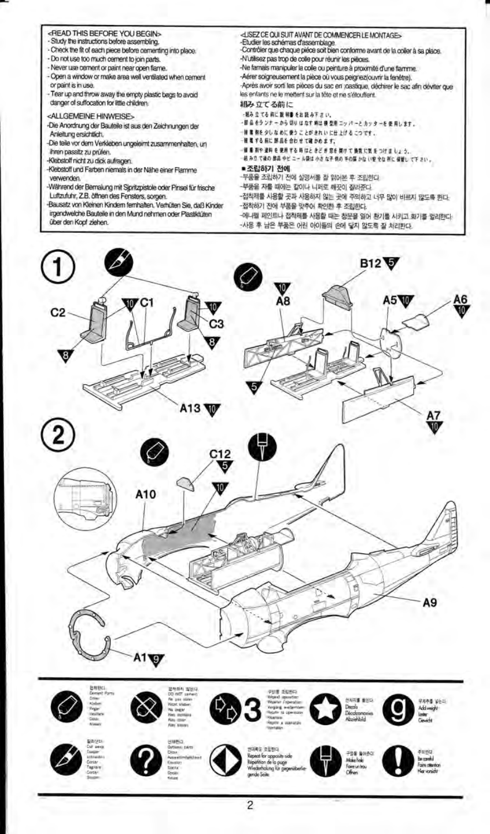- <READ THIS BEFORE YOU BEGIN>
- Study the instructions before assembling.
- Check the fit of each piece before cementing into place.
- Do not use too much cement to join parts.
- Never use cement or paint near open flame.
- Open a window or make area well ventilated when cement or paint is in use.
- Tear up and throw away the empty plastic bags to avoid danger of suffocation for little children.
- <ALLGEMEINE HINWEISE>
- -Die Anordnung der Bauteile ist aus den Zeichnungen der Anleitung ersichtlich.
- -Die teile vor dem Verkleben ungeleimt zusammenhalten, un ihren passitz zu prüfen.
- Klebstoff nicht zu dick aufragen.
- Klebstoff und Farben niemals in der Nähe einer Flamme verwenden.
- Während der Bemalung mit Sipritzpistole oder Pinsel für frische Luftzufuhr, Z.B. öffnen des Fensters, sorgen.
- -Bausatz von Kleinen Kindern fernhalten. Verhüten Sie, daß Kinder
- irgendwelche Bauteile in den Mund nehmen oder Plastiktüten über den Kopf ziehen.
- <LISEZ CE QUI SUIT AVANT DE COMMENCER LE MONTAGE> -Etudier les schémas d'assemblage.<br>-Contrôler que chaque piéce soit bien conforme avant de la coller à sa place. -N'utilisez pas trop de colle pour réunir les pièces. -Ne famais manipuler la colle ou peinture à proximité d'une flamme. -Aérer soigneusement la pièce où vous peignez(ouvrir la fenêtre). Après avoir sont les pièces du sac en joastique, déchirer le sac afin déviter que les enfants ne le mettent sur la tête et ne s'étouffent. 組み立てる前に ·N& 立てる前に説明書をお読み下さい。
- 部品をランナーから切りはなす時は横型用ニッパーとカッターを使用します。
- # # #を タしなめに使うことがきれいに仕上げるこつです。
- 推進する前に部品を合わせて確かめます。
- ■重測や塗料を使用する時はときどき窓を開けて換気に気をつけましょう。 結み立て後の参品やビニール禁は小さな子供の手の届かない安全な所に保管して下さい。
- 
- 조립하기 전에
- -부품을 조립하기 전에 실명서를 잘 읽어본 후 조립한다. 부품을 자를 때에는 칼이나 니퍼로 깨끗이 잘라준다.
- 
- -접착제를 사용할 곳과 사용하지 않는 곳에 주의하고 너무 많이 바르지 않도록 한다. -접착하기 전에 부품을 맞추어 확인한 후 조립한다.
- 

-에너펠 페인트나 접착제를 사용할 때는 창문을 열어 환기를 시키고 화기를 멀리한다. -<br>사용 후 남은 부품은 어린 아이들의 손에 닿지 않도록 잘 처리한다.

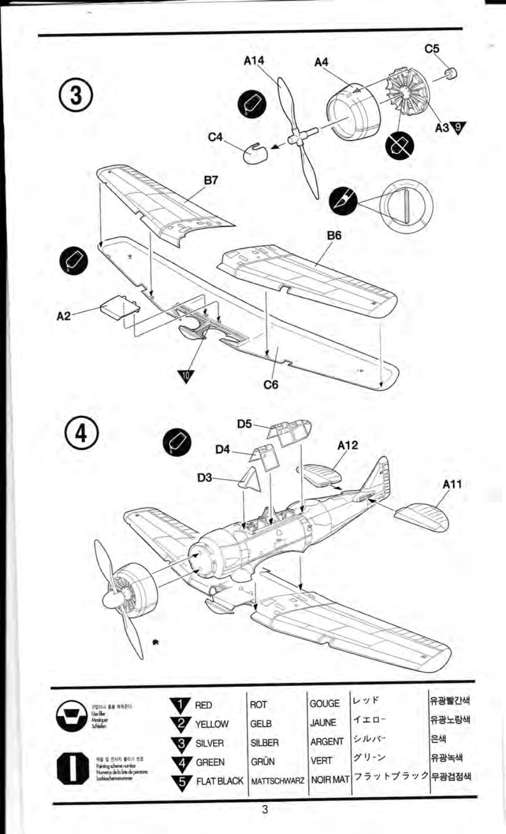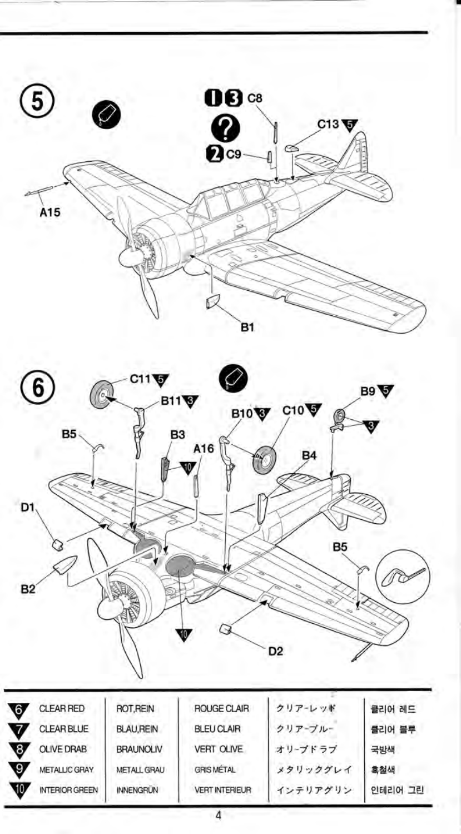



| 6              | <b>CLEAR RED</b>      | ROT.REIN         | <b>ROUGE CLAIR</b>    | クリアーレッド  | 클리어 레드  |
|----------------|-----------------------|------------------|-----------------------|----------|---------|
| v              | <b>CLEAR BLUE</b>     | <b>BLAU,REIN</b> | <b>BLEU CLAIR</b>     | クリアーブルー  | 클리어 블루  |
| $\mathbf{8}$   | <b>OLIVE DRAB</b>     | <b>BRAUNOLIV</b> | <b>VERT OLIVE</b>     | オリーブドラブ  | 국방색     |
| $\mathcal{L}9$ | METALLIC GRAY         | METALL GRAU      | <b>GRIS METAL</b>     | メタリックグレイ | 흑철색     |
| w              | <b>INTERIOR GREEN</b> | <b>INNENGRÜN</b> | <b>VERT INTERIEUR</b> | インテリアグリン | 인테리어 그린 |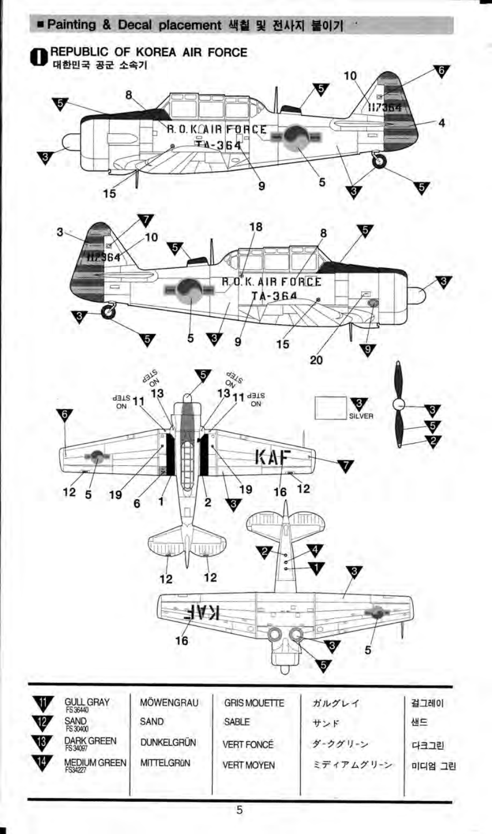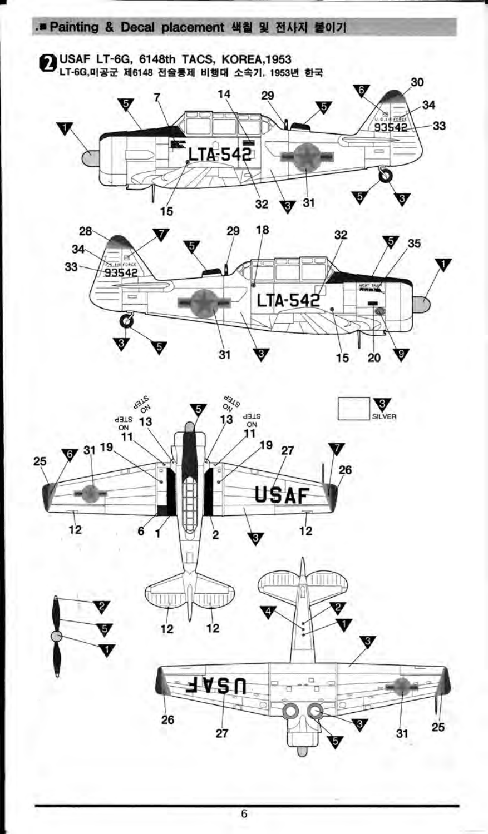2 USAF LT-6G, 6148th TACS, KOREA,1953<br>LT-6G,미공군 제6148 전술통제 비행대 소속기, 1953년 한국 30 14 29 34 5.  $93542$ 33 LTA-542 ត  $\sigma$  31 32  $15$ 

.■ Painting & Decal placement 색칠 및 전사지 불이기





6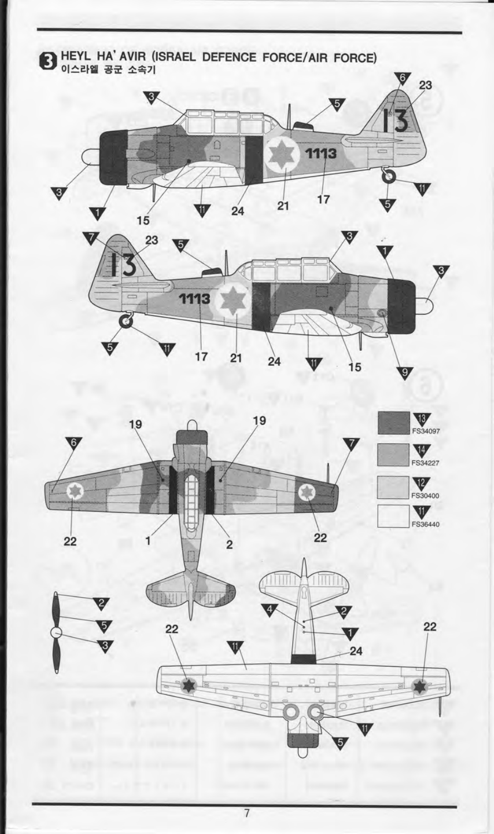



 $\overline{7}$